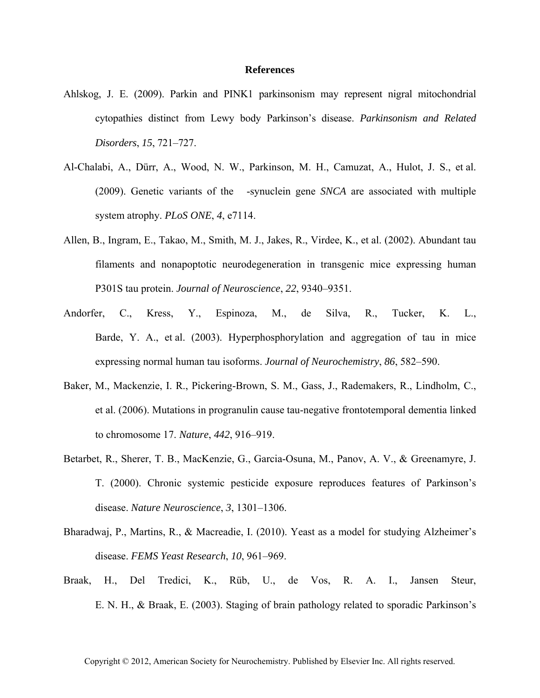## **References**

- Ahlskog, J. E. (2009). Parkin and PINK1 parkinsonism may represent nigral mitochondrial cytopathies distinct from Lewy body Parkinson's disease. *Parkinsonism and Related Disorders*, *15*, 721–727.
- Al-Chalabi, A., Dürr, A., Wood, N. W., Parkinson, M. H., Camuzat, A., Hulot, J. S., et al. (2009). Genetic variants of the -synuclein gene *SNCA* are associated with multiple system atrophy. *PLoS ONE*, *4*, e7114.
- Allen, B., Ingram, E., Takao, M., Smith, M. J., Jakes, R., Virdee, K., et al. (2002). Abundant tau filaments and nonapoptotic neurodegeneration in transgenic mice expressing human P301S tau protein. *Journal of Neuroscience*, *22*, 9340–9351.
- Andorfer, C., Kress, Y., Espinoza, M., de Silva, R., Tucker, K. L., Barde, Y. A., et al. (2003). Hyperphosphorylation and aggregation of tau in mice expressing normal human tau isoforms. *Journal of Neurochemistry*, *86*, 582–590.
- Baker, M., Mackenzie, I. R., Pickering-Brown, S. M., Gass, J., Rademakers, R., Lindholm, C., et al. (2006). Mutations in progranulin cause tau-negative frontotemporal dementia linked to chromosome 17. *Nature*, *442*, 916–919.
- Betarbet, R., Sherer, T. B., MacKenzie, G., Garcia-Osuna, M., Panov, A. V., & Greenamyre, J. T. (2000). Chronic systemic pesticide exposure reproduces features of Parkinson's disease. *Nature Neuroscience*, *3*, 1301–1306.
- Bharadwaj, P., Martins, R., & Macreadie, I. (2010). Yeast as a model for studying Alzheimer's disease. *FEMS Yeast Research*, *10*, 961–969.
- Braak, H., Del Tredici, K., Rüb, U., de Vos, R. A. I., Jansen Steur, E. N. H., & Braak, E. (2003). Staging of brain pathology related to sporadic Parkinson's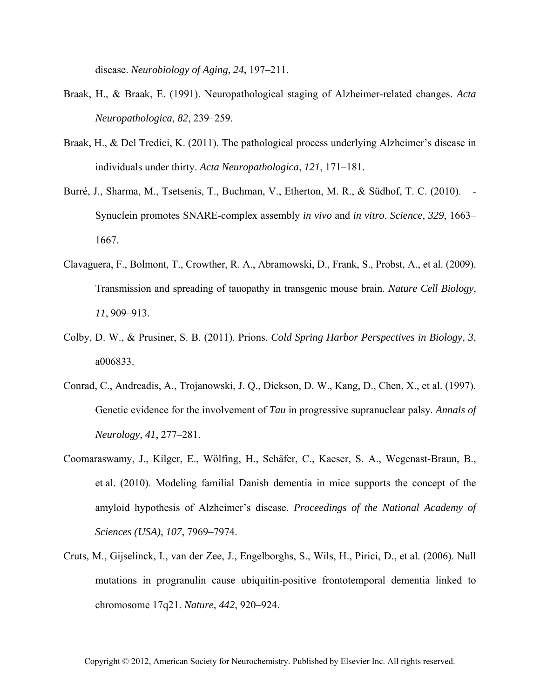disease. *Neurobiology of Aging*, *24*, 197–211.

- Braak, H., & Braak, E. (1991). Neuropathological staging of Alzheimer-related changes. *Acta Neuropathologica*, *82*, 239–259.
- Braak, H., & Del Tredici, K. (2011). The pathological process underlying Alzheimer's disease in individuals under thirty. *Acta Neuropathologica*, *121*, 171–181.
- Burré, J., Sharma, M., Tsetsenis, T., Buchman, V., Etherton, M. R., & Südhof, T. C. (2010). Synuclein promotes SNARE-complex assembly *in vivo* and *in vitro*. *Science*, *329*, 1663– 1667.
- Clavaguera, F., Bolmont, T., Crowther, R. A., Abramowski, D., Frank, S., Probst, A., et al. (2009). Transmission and spreading of tauopathy in transgenic mouse brain. *Nature Cell Biology*, *11*, 909–913.
- Colby, D. W., & Prusiner, S. B. (2011). Prions. *Cold Spring Harbor Perspectives in Biology*, *3*, a006833.
- Conrad, C., Andreadis, A., Trojanowski, J. Q., Dickson, D. W., Kang, D., Chen, X., et al. (1997). Genetic evidence for the involvement of *Tau* in progressive supranuclear palsy. *Annals of Neurology*, *41*, 277–281.
- Coomaraswamy, J., Kilger, E., Wölfing, H., Schäfer, C., Kaeser, S. A., Wegenast-Braun, B., et al. (2010). Modeling familial Danish dementia in mice supports the concept of the amyloid hypothesis of Alzheimer's disease. *Proceedings of the National Academy of Sciences (USA)*, *107*, 7969–7974.
- Cruts, M., Gijselinck, I., van der Zee, J., Engelborghs, S., Wils, H., Pirici, D., et al. (2006). Null mutations in progranulin cause ubiquitin-positive frontotemporal dementia linked to chromosome 17q21. *Nature*, *442*, 920–924.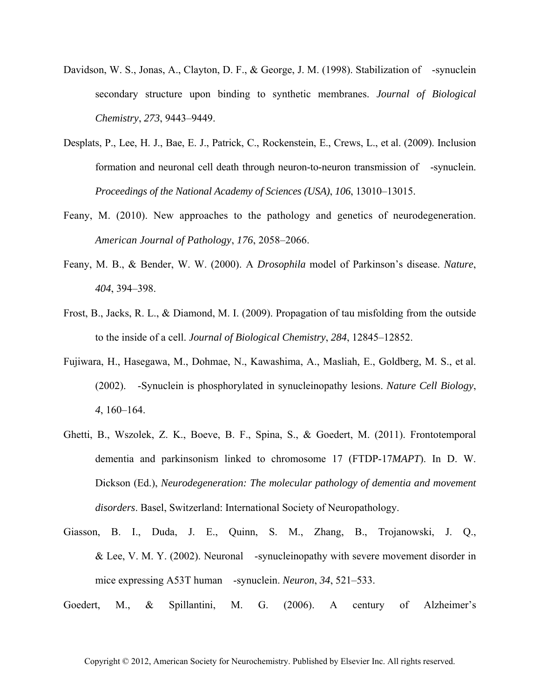- Davidson, W. S., Jonas, A., Clayton, D. F., & George, J. M. (1998). Stabilization of -synuclein secondary structure upon binding to synthetic membranes. *Journal of Biological Chemistry*, *273*, 9443–9449.
- Desplats, P., Lee, H. J., Bae, E. J., Patrick, C., Rockenstein, E., Crews, L., et al. (2009). Inclusion formation and neuronal cell death through neuron-to-neuron transmission of -synuclein. *Proceedings of the National Academy of Sciences (USA)*, *106*, 13010–13015.
- Feany, M. (2010). New approaches to the pathology and genetics of neurodegeneration. *American Journal of Pathology*, *176*, 2058–2066.
- Feany, M. B., & Bender, W. W. (2000). A *Drosophila* model of Parkinson's disease. *Nature*, *404*, 394–398.
- Frost, B., Jacks, R. L., & Diamond, M. I. (2009). Propagation of tau misfolding from the outside to the inside of a cell. *Journal of Biological Chemistry*, *284*, 12845–12852.
- Fujiwara, H., Hasegawa, M., Dohmae, N., Kawashima, A., Masliah, E., Goldberg, M. S., et al. (2002). -Synuclein is phosphorylated in synucleinopathy lesions. *Nature Cell Biology*, *4*, 160–164.
- Ghetti, B., Wszolek, Z. K., Boeve, B. F., Spina, S., & Goedert, M. (2011). Frontotemporal dementia and parkinsonism linked to chromosome 17 (FTDP-17*MAPT*). In D. W. Dickson (Ed.), *Neurodegeneration: The molecular pathology of dementia and movement disorders*. Basel, Switzerland: International Society of Neuropathology.
- Giasson, B. I., Duda, J. E., Quinn, S. M., Zhang, B., Trojanowski, J. Q., & Lee, V. M. Y. (2002). Neuronal -synucleinopathy with severe movement disorder in mice expressing A53T human -synuclein. *Neuron*, *34*, 521–533.
- Goedert, M., & Spillantini, M. G. (2006). A century of Alzheimer's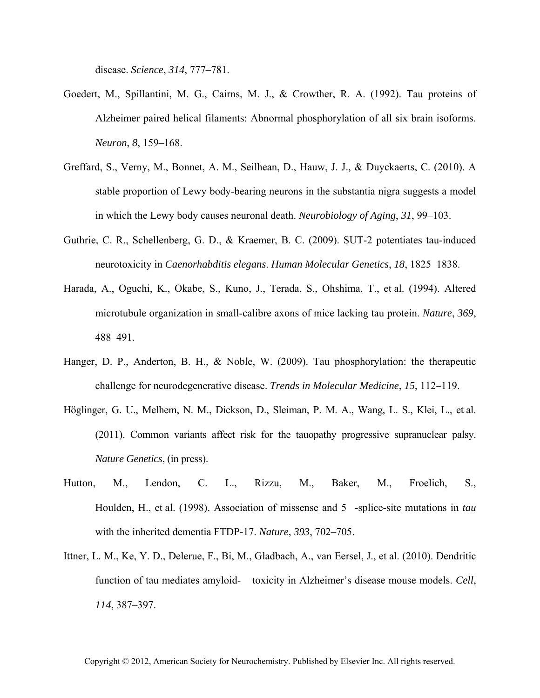disease. *Science*, *314*, 777–781.

- Goedert, M., Spillantini, M. G., Cairns, M. J., & Crowther, R. A. (1992). Tau proteins of Alzheimer paired helical filaments: Abnormal phosphorylation of all six brain isoforms. *Neuron*, *8*, 159–168.
- Greffard, S., Verny, M., Bonnet, A. M., Seilhean, D., Hauw, J. J., & Duyckaerts, C. (2010). A stable proportion of Lewy body-bearing neurons in the substantia nigra suggests a model in which the Lewy body causes neuronal death. *Neurobiology of Aging*, *31*, 99–103.
- Guthrie, C. R., Schellenberg, G. D., & Kraemer, B. C. (2009). SUT-2 potentiates tau-induced neurotoxicity in *Caenorhabditis elegans*. *Human Molecular Genetics*, *18*, 1825–1838.
- Harada, A., Oguchi, K., Okabe, S., Kuno, J., Terada, S., Ohshima, T., et al. (1994). Altered microtubule organization in small-calibre axons of mice lacking tau protein. *Nature*, *369*, 488–491.
- Hanger, D. P., Anderton, B. H., & Noble, W. (2009). Tau phosphorylation: the therapeutic challenge for neurodegenerative disease. *Trends in Molecular Medicine*, *15*, 112–119.
- Höglinger, G. U., Melhem, N. M., Dickson, D., Sleiman, P. M. A., Wang, L. S., Klei, L., et al. (2011). Common variants affect risk for the tauopathy progressive supranuclear palsy. *Nature Genetics*, (in press).
- Hutton, M., Lendon, C. L., Rizzu, M., Baker, M., Froelich, S., Houlden, H., et al. (1998). Association of missense and 5-splice-site mutations in *tau* with the inherited dementia FTDP-17. *Nature*, *393*, 702–705.
- Ittner, L. M., Ke, Y. D., Delerue, F., Bi, M., Gladbach, A., van Eersel, J., et al. (2010). Dendritic function of tau mediates amyloid- toxicity in Alzheimer's disease mouse models. *Cell*, *114*, 387–397.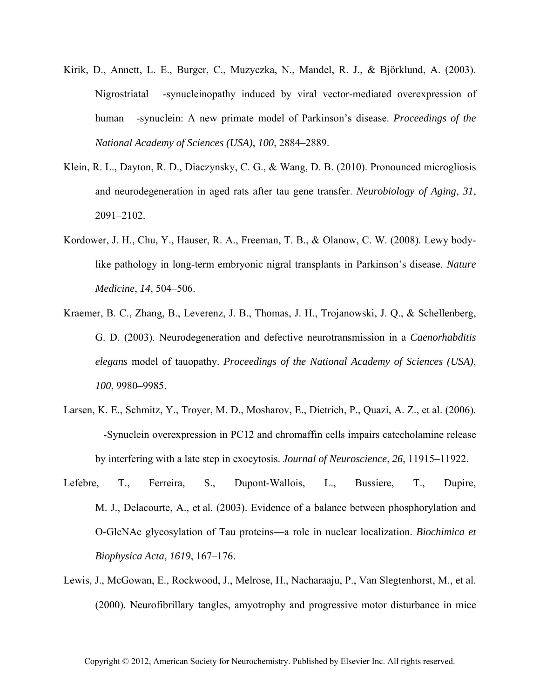- Kirik, D., Annett, L. E., Burger, C., Muzyczka, N., Mandel, R. J., & Björklund, A. (2003). Nigrostriatal -synucleinopathy induced by viral vector-mediated overexpression of human -synuclein: A new primate model of Parkinson's disease. *Proceedings of the National Academy of Sciences (USA)*, *100*, 2884–2889.
- Klein, R. L., Dayton, R. D., Diaczynsky, C. G., & Wang, D. B. (2010). Pronounced microgliosis and neurodegeneration in aged rats after tau gene transfer. *Neurobiology of Aging*, *31*, 2091–2102.
- Kordower, J. H., Chu, Y., Hauser, R. A., Freeman, T. B., & Olanow, C. W. (2008). Lewy bodylike pathology in long-term embryonic nigral transplants in Parkinson's disease. *Nature Medicine*, *14*, 504–506.
- Kraemer, B. C., Zhang, B., Leverenz, J. B., Thomas, J. H., Trojanowski, J. Q., & Schellenberg, G. D. (2003). Neurodegeneration and defective neurotransmission in a *Caenorhabditis elegans* model of tauopathy. *Proceedings of the National Academy of Sciences (USA)*, *100*, 9980–9985.
- Larsen, K. E., Schmitz, Y., Troyer, M. D., Mosharov, E., Dietrich, P., Quazi, A. Z., et al. (2006). -Synuclein overexpression in PC12 and chromaffin cells impairs catecholamine release by interfering with a late step in exocytosis. *Journal of Neuroscience*, *26*, 11915–11922.
- Lefebre, T., Ferreira, S., Dupont-Wallois, L., Bussiere, T., Dupire, M. J., Delacourte, A., et al. (2003). Evidence of a balance between phosphorylation and O-GlcNAc glycosylation of Tau proteins—a role in nuclear localization. *Biochimica et Biophysica Acta*, *1619*, 167–176.
- Lewis, J., McGowan, E., Rockwood, J., Melrose, H., Nacharaaju, P., Van Slegtenhorst, M., et al. (2000). Neurofibrillary tangles, amyotrophy and progressive motor disturbance in mice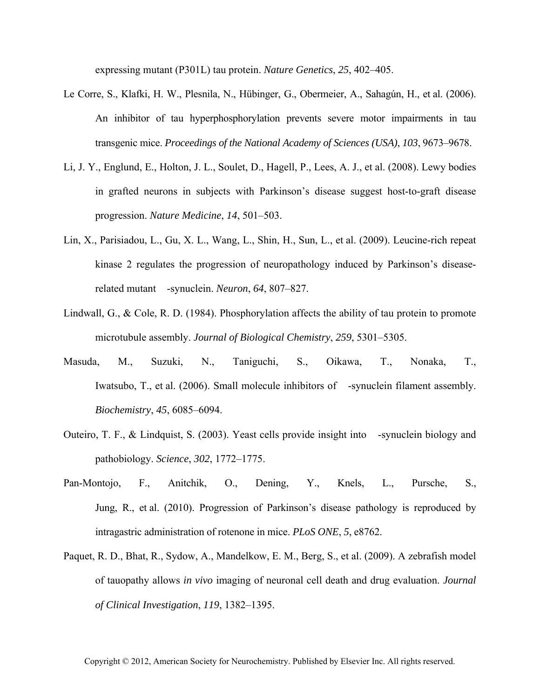expressing mutant (P301L) tau protein. *Nature Genetics*, *25*, 402–405.

- Le Corre, S., Klafki, H. W., Plesnila, N., Hübinger, G., Obermeier, A., Sahagún, H., et al. (2006). An inhibitor of tau hyperphosphorylation prevents severe motor impairments in tau transgenic mice. *Proceedings of the National Academy of Sciences (USA)*, *103*, 9673–9678.
- Li, J. Y., Englund, E., Holton, J. L., Soulet, D., Hagell, P., Lees, A. J., et al. (2008). Lewy bodies in grafted neurons in subjects with Parkinson's disease suggest host-to-graft disease progression. *Nature Medicine*, *14*, 501–503.
- Lin, X., Parisiadou, L., Gu, X. L., Wang, L., Shin, H., Sun, L., et al. (2009). Leucine-rich repeat kinase 2 regulates the progression of neuropathology induced by Parkinson's diseaserelated mutant -synuclein. *Neuron*, *64*, 807–827.
- Lindwall, G., & Cole, R. D. (1984). Phosphorylation affects the ability of tau protein to promote microtubule assembly. *Journal of Biological Chemistry*, *259*, 5301–5305.
- Masuda, M., Suzuki, N., Taniguchi, S., Oikawa, T., Nonaka, T., Iwatsubo, T., et al. (2006). Small molecule inhibitors of -synuclein filament assembly. *Biochemistry*, *45*, 6085–6094.
- Outeiro, T. F., & Lindquist, S. (2003). Yeast cells provide insight into -synuclein biology and pathobiology. *Science*, *302*, 1772–1775.
- Pan-Montojo, F., Anitchik, O., Dening, Y., Knels, L., Pursche, S., Jung, R., et al. (2010). Progression of Parkinson's disease pathology is reproduced by intragastric administration of rotenone in mice. *PLoS ONE*, *5*, e8762.
- Paquet, R. D., Bhat, R., Sydow, A., Mandelkow, E. M., Berg, S., et al. (2009). A zebrafish model of tauopathy allows *in vivo* imaging of neuronal cell death and drug evaluation. *Journal of Clinical Investigation*, *119*, 1382–1395.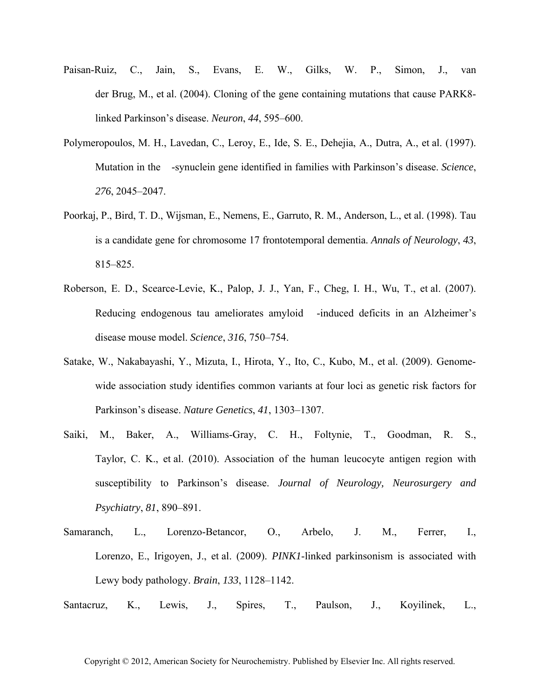- Paisan-Ruiz, C., Jain, S., Evans, E. W., Gilks, W. P., Simon, J., van der Brug, M., et al. (2004). Cloning of the gene containing mutations that cause PARK8 linked Parkinson's disease. *Neuron*, *44*, 595–600.
- Polymeropoulos, M. H., Lavedan, C., Leroy, E., Ide, S. E., Dehejia, A., Dutra, A., et al. (1997). Mutation in the -synuclein gene identified in families with Parkinson's disease. *Science*, *276*, 2045–2047.
- Poorkaj, P., Bird, T. D., Wijsman, E., Nemens, E., Garruto, R. M., Anderson, L., et al. (1998). Tau is a candidate gene for chromosome 17 frontotemporal dementia. *Annals of Neurology*, *43*, 815–825.
- Roberson, E. D., Scearce-Levie, K., Palop, J. J., Yan, F., Cheg, I. H., Wu, T., et al. (2007). Reducing endogenous tau ameliorates amyloid -induced deficits in an Alzheimer's disease mouse model. *Science*, *316*, 750–754.
- Satake, W., Nakabayashi, Y., Mizuta, I., Hirota, Y., Ito, C., Kubo, M., et al. (2009). Genomewide association study identifies common variants at four loci as genetic risk factors for Parkinson's disease. *Nature Genetics*, *41*, 1303–1307.
- Saiki, M., Baker, A., Williams-Gray, C. H., Foltynie, T., Goodman, R. S., Taylor, C. K., et al. (2010). Association of the human leucocyte antigen region with susceptibility to Parkinson's disease. *Journal of Neurology, Neurosurgery and Psychiatry*, *81*, 890–891.
- Samaranch, L., Lorenzo-Betancor, O., Arbelo, J. M., Ferrer, I., Lorenzo, E., Irigoyen, J., et al. (2009). *PINK1*-linked parkinsonism is associated with Lewy body pathology. *Brain*, *133*, 1128–1142.
- Santacruz, K., Lewis, J., Spires, T., Paulson, J., Koyilinek, L.,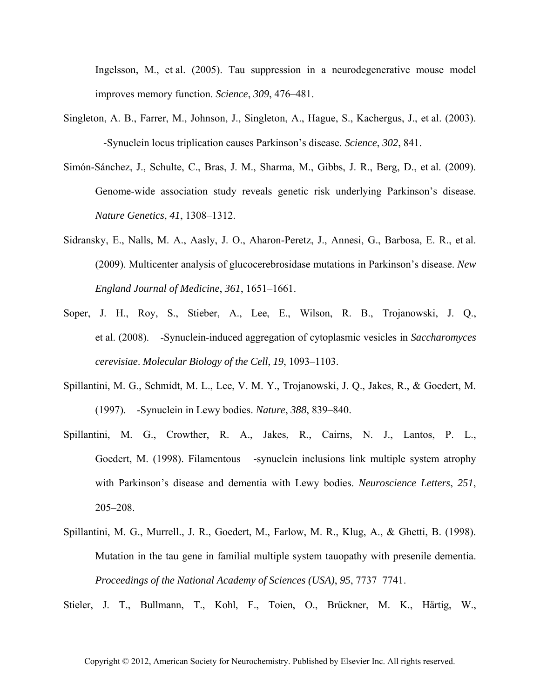Ingelsson, M., et al. (2005). Tau suppression in a neurodegenerative mouse model improves memory function. *Science*, *309*, 476–481.

- Singleton, A. B., Farrer, M., Johnson, J., Singleton, A., Hague, S., Kachergus, J., et al. (2003). -Synuclein locus triplication causes Parkinson's disease. *Science*, *302*, 841.
- Simón-Sánchez, J., Schulte, C., Bras, J. M., Sharma, M., Gibbs, J. R., Berg, D., et al. (2009). Genome-wide association study reveals genetic risk underlying Parkinson's disease. *Nature Genetics*, *41*, 1308–1312.
- Sidransky, E., Nalls, M. A., Aasly, J. O., Aharon-Peretz, J., Annesi, G., Barbosa, E. R., et al. (2009). Multicenter analysis of glucocerebrosidase mutations in Parkinson's disease. *New England Journal of Medicine*, *361*, 1651–1661.
- Soper, J. H., Roy, S., Stieber, A., Lee, E., Wilson, R. B., Trojanowski, J. Q., et al. (2008). -Synuclein-induced aggregation of cytoplasmic vesicles in *Saccharomyces cerevisiae*. *Molecular Biology of the Cell*, *19*, 1093–1103.
- Spillantini, M. G., Schmidt, M. L., Lee, V. M. Y., Trojanowski, J. Q., Jakes, R., & Goedert, M. (1997). -Synuclein in Lewy bodies. *Nature*, *388*, 839–840.
- Spillantini, M. G., Crowther, R. A., Jakes, R., Cairns, N. J., Lantos, P. L., Goedert, M. (1998). Filamentous -synuclein inclusions link multiple system atrophy with Parkinson's disease and dementia with Lewy bodies. *Neuroscience Letters*, *251*, 205–208.
- Spillantini, M. G., Murrell., J. R., Goedert, M., Farlow, M. R., Klug, A., & Ghetti, B. (1998). Mutation in the tau gene in familial multiple system tauopathy with presenile dementia. *Proceedings of the National Academy of Sciences (USA)*, *95*, 7737–7741.

Stieler, J. T., Bullmann, T., Kohl, F., Toien, O., Brückner, M. K., Härtig, W.,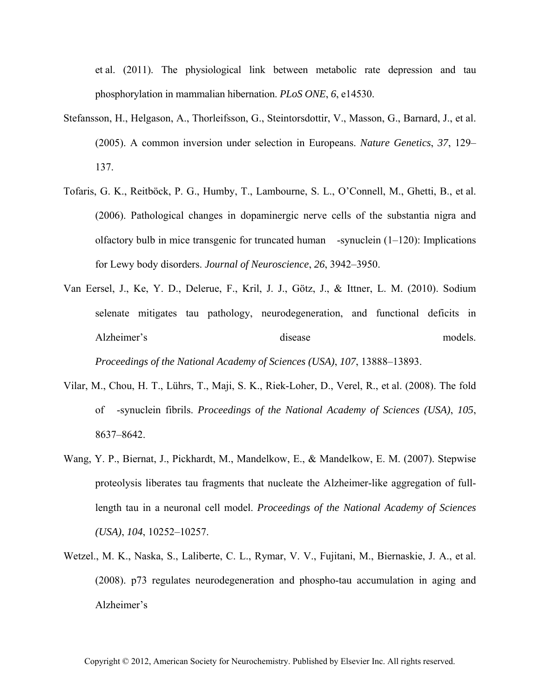et al. (2011). The physiological link between metabolic rate depression and tau phosphorylation in mammalian hibernation. *PLoS ONE*, *6*, e14530.

- Stefansson, H., Helgason, A., Thorleifsson, G., Steintorsdottir, V., Masson, G., Barnard, J., et al. (2005). A common inversion under selection in Europeans. *Nature Genetics*, *37*, 129– 137.
- Tofaris, G. K., Reitböck, P. G., Humby, T., Lambourne, S. L., O'Connell, M., Ghetti, B., et al. (2006). Pathological changes in dopaminergic nerve cells of the substantia nigra and olfactory bulb in mice transgenic for truncated human -synuclein  $(1-120)$ : Implications for Lewy body disorders. *Journal of Neuroscience*, *26*, 3942–3950.
- Van Eersel, J., Ke, Y. D., Delerue, F., Kril, J. J., Götz, J., & Ittner, L. M. (2010). Sodium selenate mitigates tau pathology, neurodegeneration, and functional deficits in Alzheimer's disease models. *Proceedings of the National Academy of Sciences (USA)*, *107*, 13888–13893.
- Vilar, M., Chou, H. T., Lührs, T., Maji, S. K., Riek-Loher, D., Verel, R., et al. (2008). The fold of -synuclein fibrils. *Proceedings of the National Academy of Sciences (USA)*, *105*, 8637–8642.
- Wang, Y. P., Biernat, J., Pickhardt, M., Mandelkow, E., & Mandelkow, E. M. (2007). Stepwise proteolysis liberates tau fragments that nucleate the Alzheimer-like aggregation of fulllength tau in a neuronal cell model. *Proceedings of the National Academy of Sciences (USA)*, *104*, 10252–10257.
- Wetzel., M. K., Naska, S., Laliberte, C. L., Rymar, V. V., Fujitani, M., Biernaskie, J. A., et al. (2008). p73 regulates neurodegeneration and phospho-tau accumulation in aging and Alzheimer's